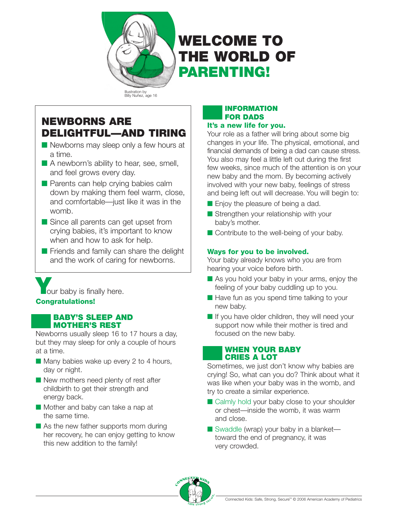

# **WELCOME TO THE WORLD OF PARENTING!**

Illustration by Billy Nuñez, age 16

# **NEWBORNS ARE DELIGHTFUL—AND TIRING**

- Newborns may sleep only a few hours at a time.
- A newborn's ability to hear, see, smell, and feel grows every day.
- Parents can help crying babies calm down by making them feel warm, close, and comfortable—just like it was in the womb.
- Since all parents can get upset from crying babies, it's important to know when and how to ask for help.
- Friends and family can share the delight and the work of caring for newborns.

**V**our baby is finally here. **Congratulations!**

# **BABY'S SLEEP AND MOTHER'S REST**

Newborns usually sleep 16 to 17 hours a day, but they may sleep for only a couple of hours at a time.

- Many babies wake up every 2 to 4 hours, day or night.
- New mothers need plenty of rest after childbirth to get their strength and energy back.
- Mother and baby can take a nap at the same time.
- As the new father supports mom during her recovery, he can enjoy getting to know this new addition to the family!

### **INFORMATION FOR DADS It's a new life for you.**

Your role as a father will bring about some big changes in your life. The physical, emotional, and financial demands of being a dad can cause stress. You also may feel a little left out during the first few weeks, since much of the attention is on your new baby and the mom. By becoming actively involved with your new baby, feelings of stress and being left out will decrease. You will begin to:

- Enjoy the pleasure of being a dad.
- Strengthen your relationship with your baby's mother.
- Contribute to the well-being of your baby.

# **Ways for you to be involved.**

Your baby already knows who you are from hearing your voice before birth.

- As you hold your baby in your arms, enjoy the feeling of your baby cuddling up to you.
- Have fun as you spend time talking to your new baby.
- If you have older children, they will need your support now while their mother is tired and focused on the new baby.

# **WHEN YOUR BABY CRIES A LOT**

Sometimes, we just don't know why babies are crying! So, what can you do? Think about what it was like when your baby was in the womb, and try to create a similar experience.

- Calmly hold your baby close to your shoulder or chest—inside the womb, it was warm and close.
- Swaddle (wrap) your baby in a blanket toward the end of pregnancy, it was very crowded.

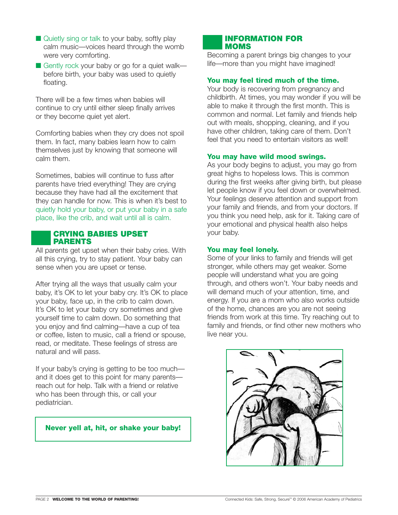- Quietly sing or talk to your baby, softly play calm music—voices heard through the womb were very comforting.
- Gently rock your baby or go for a quiet walk before birth, your baby was used to quietly floating.

There will be a few times when babies will continue to cry until either sleep finally arrives or they become quiet yet alert.

Comforting babies when they cry does not spoil them. In fact, many babies learn how to calm themselves just by knowing that someone will calm them.

Sometimes, babies will continue to fuss after parents have tried everything! They are crying because they have had all the excitement that they can handle for now. This is when it's best to quietly hold your baby, or put your baby in a safe place, like the crib, and wait until all is calm.

#### **CRYING BABIES UPSET PARENTS**

All parents get upset when their baby cries. With all this crying, try to stay patient. Your baby can sense when you are upset or tense.

After trying all the ways that usually calm your baby, it's OK to let your baby cry. It's OK to place your baby, face up, in the crib to calm down. It's OK to let your baby cry sometimes and give yourself time to calm down. Do something that you enjoy and find calming—have a cup of tea or coffee, listen to music, call a friend or spouse, read, or meditate. These feelings of stress are natural and will pass.

If your baby's crying is getting to be too much and it does get to this point for many parents reach out for help. Talk with a friend or relative who has been through this, or call your pediatrician.

# **Never yell at, hit, or shake your baby!**

### **INFORMATION FOR MOMS**

Becoming a parent brings big changes to your life—more than you might have imagined!

# **You may feel tired much of the time.**

Your body is recovering from pregnancy and childbirth. At times, you may wonder if you will be able to make it through the first month. This is common and normal. Let family and friends help out with meals, shopping, cleaning, and if you have other children, taking care of them. Don't feel that you need to entertain visitors as well!

#### **You may have wild mood swings.**

As your body begins to adjust, you may go from great highs to hopeless lows. This is common during the first weeks after giving birth, but please let people know if you feel down or overwhelmed. Your feelings deserve attention and support from your family and friends, and from your doctors. If you think you need help, ask for it. Taking care of your emotional and physical health also helps your baby.

#### **You may feel lonely.**

Some of your links to family and friends will get stronger, while others may get weaker. Some people will understand what you are going through, and others won't. Your baby needs and will demand much of your attention, time, and energy. If you are a mom who also works outside of the home, chances are you are not seeing friends from work at this time. Try reaching out to family and friends, or find other new mothers who live near you.